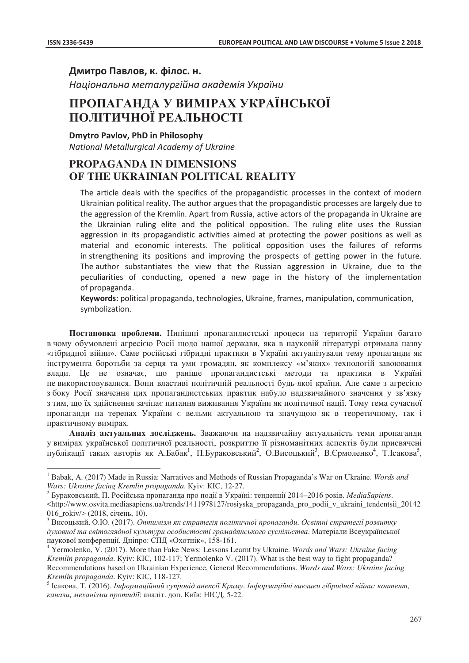$\overline{a}$ 

Дмитро Павлов, к. філос. н.

**Національна металургійна академія України** 

# ПРОПАГАНДА У ВИМІРАХ УКРАЇНСЬКОЇ ПОЛІТИЧНОЇ РЕАЛЬНОСТІ

**Dmvtro Pavlov, PhD in Philosophy** 

*National Metallurgical Academy of Ukraine* 

## **PROPAGANDA IN DIMENSIONS OF THE UKRAINIAN POLITICAL REALITY**

The article deals with the specifics of the propagandistic processes in the context of modern Ukrainian political reality. The author argues that the propagandistic processes are largely due to the aggression of the Kremlin. Apart from Russia, active actors of the propaganda in Ukraine are the Ukrainian ruling elite and the political opposition. The ruling elite uses the Russian aggression in its propagandistic activities aimed at protecting the power positions as well as material and economic interests. The political opposition uses the failures of reforms in strengthening its positions and improving the prospects of getting power in the future. The author substantiates the view that the Russian aggression in Ukraine, due to the peculiarities of conducting, opened a new page in the history of the implementation of propaganda.

Keywords: political propaganda, technologies, Ukraine, frames, manipulation, communication, symbolization.

Постановка проблеми. Нинішні пропагандистські процеси на території України багато в чому обумовлені агресією Росії щодо нашої держави, яка в науковій літературі отримала назву «гібридної війни». Саме російські гібридні практики в Україні актуалізували тему пропаганди як інструмента боротьби за серця та уми громадян, як комплексу «м'яких» технологій завоювання влади. Це не означає, що раніше пропагандистські методи та практики в Україні не використовувалися. Вони властиві політичній реальності будь-якої країни. Але саме з агресією з боку Росії значення цих пропагандистських практик набуло надзвичайного значення у зв'язку з тим, що їх здійснення зачіпає питання виживання України як політичної нації. Тому тема сучасної пропаганди на теренах України є вельми актуальною та значущою як в теоретичному, так і практичному вимірах.

**Аналіз актуальних лослілжень.** Зважаючи на налзвичайну актуальність теми пропаганли у вимірах української політичної реальності, розкриттю її різноманітних аспектів були присвячені публікації таких авторів як А.Бабак<sup>1</sup>, П.Бураковський<sup>2</sup>, О.Висоцький<sup>3</sup>, В.Єрмоленко<sup>4</sup>, Т.Ісакова<sup>5</sup>,

<sup>&</sup>lt;sup>1</sup> Babak, A. (2017) Made in Russia: Narratives and Methods of Russian Propaganda's War on Ukraine. *Words and Wars: Ukraine facing Kremlin propaganda*. Kyiv: KIC, 12-27.<br><sup>2</sup> Бураковський, П. Російська пропаганда про події в Україні: тенденції 2014–2016 років. *MediaSapiens*.

<sup>&</sup>lt;http://www.osvita.mediasapiens.ua/trends/1411978127/rosiyska\_propaganda\_pro\_podii\_v\_ukraini\_tendentsii\_20142

<sup>016</sup>\_rokiv/> (2018, січень, 10).<br><sup>3</sup> Висоцький, О.Ю. (2017). *Оптимізм як стратегія політичної пропаганди. Освітні стратегії розвитку* духовної та світоглядної культури особистості громадянського суспільства. Матеріали Всеукраїнської наукової конференції. Дніпро: СПД «Охотнік», 158-161.

<sup>&</sup>lt;sup>4</sup> Yermolenko, V. (2017). More than Fake News: Lessons Learnt by Ukraine. *Words and Wars: Ukraine facing Kremlin propaganda*. Kyiv: KIC, 102-117; Yermolenko V. (2017). What is the best way to fight propaganda? Recommendations based on Ukrainian Experience, General Recommendations. *Words and Wars: Ukraine facing*  Kremlin propaganda. Kyiv: KIC, 118-127.<br><sup>5</sup> Ісакова, Т. (2016). Інформаційний супровід анексії Криму. Інформаційні виклики гібридної війни: контент,

*канали, механізми протидії: аналіт. доп. Київ: НІСД, 5-22.*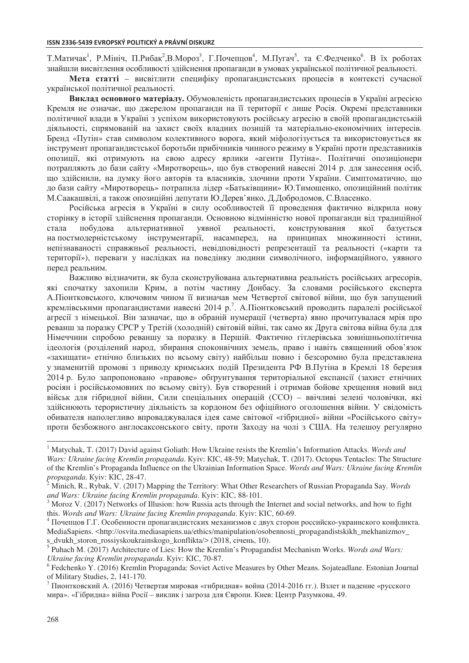Т.Матичак<sup>1</sup>, Р.Мініч, П.Рибак<sup>2</sup>,В.Мороз<sup>3</sup>, Г.Почепцов<sup>4</sup>, М.Пугач<sup>5</sup>, та Є.Федченко<sup>6</sup>. В їх роботах знайшли висвітлення особливості здійснення пропаганди в умовах української політичної реальності.

Мета статті – висвітлити специфіку пропагандистських процесів в контексті сучасної української політичної реальності.

Виклад основного матеріалу. Обумовленість пропагандистських процесів в Україні агресією Кремля не означає, що джерелом пропаганди на її території є лише Росія. Окремі представники політичної влади в Україні з успіхом використовують російську агресію в своїй пропагандистській діяльності, спрямованій на захист своїх владних позицій та матеріально-економічних інтересів. Бренд «Путін» став символом колективного ворога, який міфологізується та використовується як інструмент пропагандистської боротьби прибічників чинного режиму в Україні проти представників опозиції, які отримують на свою адресу ярлики «агенти Путіна». Політичні опозиціонери потрапляють до бази сайту «Миротворець», що був створений навесні 2014 р. для занесення осіб, що здійснили, на думку його авторів та власників, злочини проти України. Симптоматично, що до бази сайту «Миротворець» потрапила лідер «Батьківщини» Ю.Тимошенко, опозиційний політик М.Саакашвілі, а також опозиційні депутати Ю.Дерев'янко, Д.Добродомов, С.Власенко.

Російська агресія в Україні в силу особливостей її проведення фактично відкрила нову сторінку в історії здійснення пропаганди. Основною відмінністю нової пропаганди від традиційної стала побудова альтернативної уявної реальності, конструювання якої базується на постмодерністському інструментарії, насамперед, на принципах множинності істини, непізнаваності справжньої реальності, невідповідності репрезентації та реальності («карти та території»), переваги у наслідках на поведінку людини символічного, інформаційного, уявного перед реальним.

Важливо відзначити, як була сконструйована альтернативна реальність російських агресорів, які спочатку захопили Крим, а потім частину Донбасу. За словами російського експерта А. Піонтковського, ключовим чином її визначав мем Четвертої світової війни, що був запущений кремлівськими пропагандистами навесні 2014 р.<sup>7</sup>. А.Піонтковський проводить паралелі російської агресії з німецької. Він зазначає, що в обраній нумерації (четверта) явно прочитувалася мрія про реванш за поразку СРСР у Третій (холодній) світовій війні, так само як Друга світова війна була для Німеччини спробою реваншу за поразку в Першій. Фактично гітлерівська зовнішньополітична ідеологія (розділений народ, збирання споконвічних земель, право і навіть священний обов'язок «захищати» етнічно близьких по всьому світу) найбільш повно і безсоромно була представлена у знаменитій промові з приводу кримських подій Президента РФ В.Путіна в Кремлі 18 березня 2014 р. Було запропоновано «правове» обгрунтування територіальної експансії (захист етнічних росіян і російськомовних по всьому світу). Був створений і отримав бойове хрещення новий вид військ для гібридної війни, Сили спеціальних операцій (ССО) – ввічливі зелені чоловічки, які здійснюють терористичну діяльність за кордоном без офіційного оголошення війни. У свідомість обивателя наполегливо впроваджувалася ідея саме світової «гібридної» війни «Російського світу» проти безбожного англосаксонського світу, проти Заходу на чолі з США. На телешоу регулярно

 $\overline{a}$ 

<sup>&</sup>lt;sup>1</sup> Matychak, T. (2017) David against Goliath: How Ukraine resists the Kremlin's Information Attacks. *Words and Wars: Ukraine facing Kremlin propaganda*. Kyiv: KIC, 48-59; Matychak, T. (2017). Octopus Tentacles: The Structure of the Kremlin's Propaganda Influence on the Ukrainian Information Space. *Words and Wars: Ukraine facing Kremlin*  propaganda. Kyiv: KIC, 28-47.

Minich, R., Rybak, V. (2017) Mapping the Territory: What Other Researchers of Russian Propaganda Say. *Words*  and Wars: Ukraine facing Kremlin propaganda. Kyiv: KIC, 88-101.

 $3$  Moroz V. (2017) Networks of Illusion: how Russia acts through the Internet and social networks, and how to fight this. *Words and Wars: Ukraine facing Kremlin propaganda*. Куiv: KIC, 60-69. 4 *Hoven poccийско-украинского конфликта*.

MediaSapiens. <http://osvita.mediasapiens.ua/ethics/manipulation/osobennosti\_propagandistskikh\_mekhanizmov s\_dvukh\_storon\_rossiyskoukrainskogo\_konflikta/> (2018, січень, 10).

<sup>&</sup>lt;sup>5</sup> Puhach M. (2017) Architecture of Lies: How the Kremlin's Propagandist Mechanism Works. *Words and Wars: Ukraine facing Kremlin propaganda.* Kyiv: KIC, 70-87.

<sup>&</sup>lt;sup>6</sup> Fedchenko Y. (2016) Kremlin Propaganda: Soviet Active Measures by Other Means. Sojateadlane. Estonian Journal of Military Studies, 2, 141-170.

 $^7$  Пионтковский А. (2016) Четвертая мировая «гибридная» война (2014-2016 гг.). Взлет и падение «русского мира». «Гібридна» війна Росії – виклик і загроза для Європи. Киев: Центр Разумкова, 49.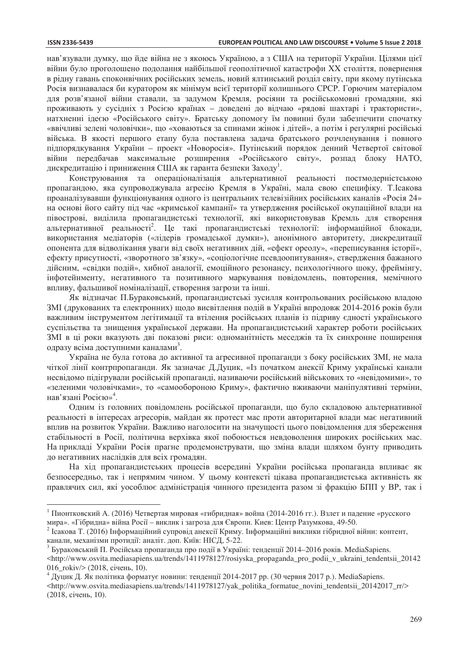$\overline{a}$ 

нав'язували думку, що йде війна не з якоюсь Україною, а з США на території України. Цілями цієї війни було проголошено подолання найбільшої геополітичної катастрофи XX століття, повернення в рідну гавань споконвічних російських земель, новий ялтинський розділ світу, при якому путінська Росія визнавалася би куратором як мінімум всієї території колишнього СРСР. Горючим матеріалом для розв'язаної війни ставали, за задумом Кремля, росіяни та російськомовні громадяни, які проживають у сусідніх з Росією країнах – доведені до відчаю «рядові шахтарі і трактористи», натхненні ідеєю «Російського світу». Братську допомогу їм повинні були забезпечити спочатку «ввічливі зелені чоловічки», що «ховаються за спинами жінок і дітей», а потім і регулярні російські війська. В якості першого етапу була поставлена задача братського розчленування і повного підпорядкування України – проект «Новоросія». Путінський порядок денний Четвертої світової війни передбачав максимальне розширення «Російського світу», розпад блоку НАТО, дискредитацію і приниження США як гаранта безпеки Заходу<sup>1</sup>.

Конструювання та операціоналізація альтернативної реальності постмодерністською пропагандою, яка супроводжувала агресію Кремля в Україні, мала свою специфіку. Т. Ісакова проаналізувавши функціонування одного із центральних телевізійних російських каналів «Росія 24» на основі його сайту під час «кримської кампанії» та утвердження російської окупаційної влади на півострові, виділила пропагандистські технології, які використовував Кремль для створення альтернативної реальності<sup>2</sup>. Це такі пропагандистські технології: інформаційної блокади, використання медіаторів («лідерів громадської думки»), анонімного авторитету, дискредитації опонента для відволікання уваги від своїх негативних дій, «ефект ореолу», «переписування історії», ефекту присутності, «зворотного зв'язку», «соціологічне псевдоопитування», ствердження бажаного дійсним, «свідки подій», хибної аналогії, емоційного резонансу, психологічного шоку, фреймінгу, інфотейнменту, негативного та позитивного маркування повідомлень, повторення, мемічного впливу, фальшивої номіналізації, створення загрози та інші.

Як відзначає П.Бураковський, пропагандистські зусилля контрольованих російською владою ЗМІ (друкованих та електронних) щодо висвітлення подій в Україні впродовж 2014-2016 років були важливим інструментом легітимації та втілення російських планів із підриву єдності українського суспільства та знищення української держави. На пропагандистський характер роботи російських ЗМІ в ці роки вказують дві показові риси: одноманітність меседжів та їх синхронне поширення одразу всіма доступними каналами<sup>3</sup>.

Україна не була готова до активної та агресивної пропаганди з боку російських ЗМІ, не мала чіткої лінії контрпропаганди. Як зазначає Д.Дуцик, «Із початком анексії Криму українські канали несвідомо підігрували російській пропаганді, називаючи російський військових то «невідомими», то «зеленими чоловічками», то «самообороною Криму», фактично вживаючи маніпулятивні терміни, нав'язані Росією»<sup>4</sup>.

Одним із головних повідомлень російської пропаганди, що було складовою альтернативної реальності в інтересах агресорів, майдан як протест мас проти авторитарної влади має негативний вплив на розвиток України. Важливо наголосити на значущості цього повідомлення для збереження стабільності в Росії, політична верхівка якої побоюється невдоволення широких російських мас. На прикладі України Росія прагне продемонструвати, що зміна влади шляхом бунту приводить до негативних наслідків для всіх громадян.

На хід пропагандистських процесів всередині України російська пропаганда впливає як безпосередньо, так і непрямим чином. У цьому контексті цікава пропагандистська активність як правлячих сил, які уособлює адміністрація чинного президента разом зі фракцію БПП у ВР, так і

<sup>&</sup>lt;sup>1</sup> Пионтковский А. (2016) Четвертая мировая «гибридная» война (2014-2016 гг.). Взлет и падение «русского<br>мира». «Гібридна» війна Росії – виклик і загроза для Європи. Киев: Центр Разумкова, 49-50.

 $^2$  Ісакова Т. (2016) Інформаційний супровід анексії Криму. Інформаційні виклики гібридної війни: контент, канали, механізми протидії: аналіт. доп. Київ: НІСД, 5-22. 3 виденції 2014–2016 років. MediaSapiens. 3 Бураковський П. Російська пропаганда про події в Україні: тенденції 2014–2016 років. MediaSapiens.

<sup>&</sup>lt;http://www.osvita.mediasapiens.ua/trends/1411978127/rosiyska\_propaganda\_pro\_podii\_v\_ukraini\_tendentsii\_20142 016\_rokiv/> (2018, січень, 10).<br><sup>4</sup> Дуцик Д. Як політика форматує новини: тенленції 2014-2017 рр. (30 червня 2017 р.). MediaSapiens.

<sup>&</sup>lt;http://www.osvita.mediasapiens.ua/trends/1411978127/yak\_politika\_formatue\_novini\_tendentsii\_20142017\_rr/> (2018, січень, 10).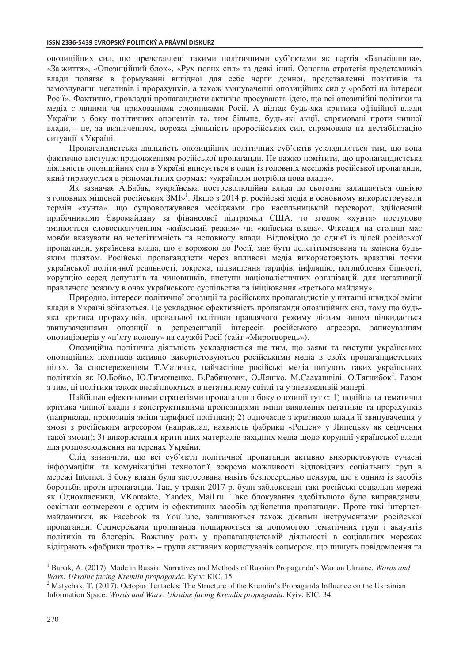#### **ISSN 2336-5439 EVROPSKÝ POLITICKÝ A PRÁVNÍ DISKURZ**

опозиційних сил, що представлені такими політичними суб'єктами як партія «Батьківщина», «За життя», «Опозиційний блок», «Рух нових сил» та деякі інші. Основна стратегія представників влади полягає в формуванні вигідної для себе черги денної, представленні позитивів та замовчуванні негативів і прорахунків, а також звинуваченні опозиційних сил у «роботі на інтереси Росії». Фактично, провладні пропагандисти активно просувають ідею, що всі опозиційні політики та медіа є явними чи прихованими союзниками Росії. А відтак будь-яка критика офіційної влади України з боку політичних опонентів та, тим більше, будь-які акції, спрямовані проти чинної влади, – це, за визначенням, ворожа діяльність проросійських сил, спрямована на дестабілізацію ситуації в Україні.

Пропагандистська діяльність опозиційних політичних суб'єктів ускладняється тим, що вона фактично виступає продовженням російської пропаганди. Не важко помітити, що пропагандистська діяльність опозиційних сил в Україні вписується в один із головних месіджів російської пропаганди, який тиражується в різноманітних формах: «українцям потрібна нова влада».

Як зазначає А.Бабак, «українська постреволюційна влада до сьогодні залишається однією з головних мішеней російських ЗМІ»<sup>1</sup>. Якщо з 2014 р. російські медіа в основному використовували термін «хунта», що супроводжувався месіджами про насильницький переворот, здійснений прибічниками Євромайдану за фінансової підтримки США, то згодом «хунта» поступово змінюється словосполученням «київський режим» чи «київська влада». Фіксація на столиці має мовби вказувати на нелегітимність та неповноту влади. Відповідно до однієї із цілей російської пропаганди, українська влада, що є ворожою до Росії, має бути делегітимізована та змінена будьяким шляхом. Російські пропагандисти через впливові медіа використовують вразливі точки української політичної реальності, зокрема, підвищення тарифів, інфляцію, поглиблення бідності, корупцію серед депутатів та чиновників, виступи націоналістичних організацій, для негативації правлячого режиму в очах українського суспільства та ініціювання «третього майдану».

Природно, інтереси політичної опозиції та російських пропагандистів у питанні швидкої зміни влади в Україні збігаються. Це ускладнює ефективність пропаганди опозиційних сил, тому що будьяка критика прорахунків, провальної політики правлячого режиму дієвим чином відкидається звинуваченнями опозиції в репрезентації інтересів російського агресора, записуванням опозиціонерів у «п'яту колону» на службі Росії (сайт «Миротворець»).

Опозиційна політична діяльність ускладняється ще тим, що заяви та виступи українських опозиційних політиків активно використовуються російськими медіа в своїх пропагандистських цілях. За спостереженням Т.Матичак, найчастіше російські медіа цитують таких українських політиків як Ю.Бойко, Ю.Тимошенко, В.Рабинович, О.Ляшко, М.Саакашвілі, О.Тягнибок<sup>2</sup>. Разом з тим, ці політики також висвітлюються в негативному світлі та у зневажливій манері.

Найбільш ефективними стратегіями пропаганди з боку опозиції тут є: 1) подійна та тематична критика чинної влади з конструктивними пропозиціями зміни виявлених негативів та прорахунків (наприклад, пропозиція зміни тарифної політики); 2) одночасне з критикою влади її звинувачення у змові з російським агресором (наприклад, наявність фабрики «Рошен» у Липецьку як свідчення такої змови); 3) використання критичних матеріалів західних медіа щодо корупції української влади для розповсюдження на теренах України.

Слід зазначити, що всі суб'єкти політичної пропаганди активно використовують сучасні інформаційні та комунікаційні технології, зокрема можливості відповідних соціальних груп в мережі Internet. З боку влади була застосована навіть безпосередньо цензура, що є одним із засобів боротьби проти пропаганди. Так, у травні 2017 р. були заблоковані такі російські соціальні мережі як Однокласники, VKontakte, Yandex, Mail.ru. Таке блокування здебільшого було виправданим, оскільки соцмережи є одним із ефективних засобів здійснення пропаганди. Проте такі інтернетмайданчики, як Facebook та YouTube, залишаються також дієвими інструментами російської пропаганди. Соцмережами пропаганда поширюється за допомогою тематичних груп і акаунтів політиків та блогерів. Важливу роль у пропагандистській діяльності в соціальних мережах відіграють «фабрики тролів» – групи активних користувачів соцмереж, що пишуть повідомлення та

 $\overline{a}$ 

<sup>&</sup>lt;sup>1</sup> Babak, A. (2017). Made in Russia: Narratives and Methods of Russian Propaganda's War on Ukraine. *Words and Wars: Ukraine facing Kremlin propaganda. Kviv: KIC, 15.* 

<sup>&</sup>lt;sup>2</sup> Matychak, T. (2017). Octopus Tentacles: The Structure of the Kremlin's Propaganda Influence on the Ukrainian Information Space. *Words and Wars: Ukraine facing Kremlin propaganda*. Kyiv: KIC, 34.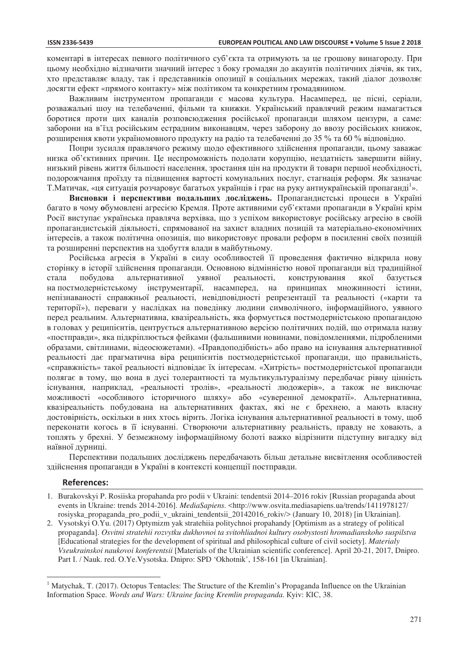коментарі в інтересах певного політичного суб'єкта та отримують за це грошову винагороду. При цьому необхідно відзначити значний інтерес з боку громадян до акаунтів політичних діячів, як тих, хто представляє владу, так і представників опозиції в соціальних мережах, такий діалог дозволяє досягти ефект «прямого контакту» між політиком та конкретним громадянином.

Важливим інструментом пропаганди є масова культура. Насамперед, це пісні, серіали, розважальні шоу на телебаченні, фільми та книжки. Український правлячий режим намагається боротися проти цих каналів розповсюдження російської пропаганди шляхом цензури, а саме: заборони на в'їзд російським естрадним виконавцям, через заборону до ввозу російських книжок, розширення квоти україномовного продукту на радіо та телебаченні до 35 % та 60 % відповідно.

Попри зусилля правлячого режиму щодо ефективного здійснення пропаганди, цьому заважає низка об'єктивних причин. Це неспроможність подолати корупцію, нездатність завершити війну, низький рівень життя більшості населення, зростання цін на продукти й товари першої необхідності, подорожчання проїзду та підвищення вартості комунальних послуг, стагнація реформ. Як зазначає Т.Матичак, «ця ситуація розчаровує багатьох українців і грає на руку антиукраїнській пропаганді<sup>1</sup>».

Висновки і перспективи подальших досліджень. Пропагандистські процеси в Україні багато в чому **о**бумовлені агресією Кремля. Проте активними суб'єктами пропаганди в Україні крім Росії виступає українська правляча верхівка, що з успіхом використовує російську агресію в своїй пропагандистській діяльності, спрямованої на захист владних позицій та матеріально-економічних інтересів, а також політична опозиція, що використовує провали реформ в посиленні своїх позицій та розширенні перспектив на здобуття влади в майбутньому.

Російська агресія в Україні в силу особливостей її проведення фактично відкрила нову сторінку в історії здійснення пропаганди. Основною відмінністю нової пропаганди від традиційної стала побудова альтернативної уявної реальності, конструювання якої базується на постмодерністському інструментарії, насамперед, на принципах множинності істини, непізнаваності справжньої реальності, невідповідності репрезентації та реальності («карти та території»), переваги у наслідках на поведінку людини символічного, інформаційного, уявного перед реальним. Альтернативна, квазіреальність, яка формується постмодерністською пропагандою в головах у реципієнтів, центрується альтернативною версією політичних подій, що отримала назву «постправди», яка підкріплюється фейками (фальшивими новинами, повідомленнями, підробленими образами, світлинами, відеосюжетами). «Правдоподібність» або право на існування альтернативної реальності дає прагматична віра реципієнтів постмодерністської пропаганди, що правильність, «справжність» такої реальності відповідає їх інтересам. «Хитрість» постмодерністської пропаганди полягає в тому, що вона в дусі толерантності та мультикультуралізму передбачає рівну цінність існування, наприклад, «реальності тролів», «реальності людожерів», а також не виключає можливості «особливого історичного шляху» або «суверенної демократії». Альтернативна, квазіреальність побудована на альтернативних фактах, які не є брехнею, а мають власну достовірність, оскільки в них хтось вірить. Логіка існування альтернативної реальності в тому, щоб переконати когось в її існуванні. Створюючи альтернативну реальність, правду не ховають, а топлять у брехні. У безмежному інформаційному болоті важко відрізнити підступну вигадку від наївної дурниці.

Перспективи подальших досліджень передбачають більш детальне висвітлення особливостей здійснення пропаганди в Україні в контексті концепції постправди.

### **References:**

 $\overline{a}$ 

- 1. Burakovskyi P. Rosiiska propahanda pro podii v Ukraini: tendentsii 2014–2016 rokiv [Russian propaganda about events in Ukraine: trends 2014-2016]. *MediaSapiens.* <http://www.osvita.mediasapiens.ua/trends/1411978127/ rosiyska propaganda pro podii v ukraini tendentsii 20142016 rokiv/> (January 10, 2018) [in Ukrainian].
- 2. Vysotskyi O.Yu. (2017) Optymizm yak stratehiia politychnoi propahandy [Optimism as a strategy of political propaganda]. *Osvitni stratehii rozvytku dukhovnoi ta svitohliadnoi kultury osobystosti hromadianskoho suspilstva*  [Educational strategies for the development of spiritual and philosophical culture of civil society]. *Materialy Vseukrainskoi naukovoi konferentsii* [Materials of the Ukrainian scientific conference]. April 20-21, 2017, Dnipro. Part I. / Nauk. red. O.Ye. Vysotska. Dnipro: SPD 'Okhotnik', 158-161 [in Ukrainian].

<sup>&</sup>lt;sup>1</sup> Matychak, T. (2017). Octopus Tentacles: The Structure of the Kremlin's Propaganda Influence on the Ukrainian Information Space. *Words and Wars: Ukraine facing Kremlin propaganda*. Kyiv: KIC, 38.